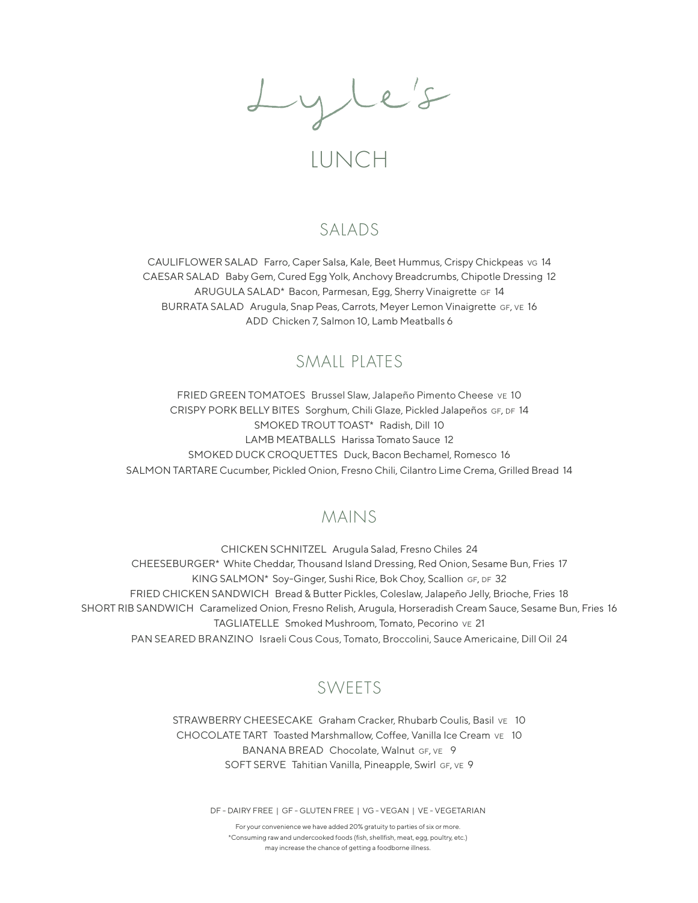Lyle's

# LUNCH

### SALADS

CAULIFLOWER SALAD Farro, Caper Salsa, Kale, Beet Hummus, Crispy Chickpeas vg 14 CAESAR SALAD Baby Gem, Cured Egg Yolk, Anchovy Breadcrumbs, Chipotle Dressing 12 ARUGULA SALAD\* Bacon, Parmesan, Egg, Sherry Vinaigrette GF 14 BURRATA SALAD Arugula, Snap Peas, Carrots, Meyer Lemon Vinaigrette GF, VE 16 ADD Chicken 7, Salmon 10, Lamb Meatballs 6

### SMAIL PLATES

FRIED GREEN TOMATOES Brussel Slaw, Jalapeño Pimento Cheese ve 10 CRISPY PORK BELLY BITES Sorghum, Chili Glaze, Pickled Jalapeños GF, DF 14 SMOKED TROUT TOAST\* Radish, Dill 10 LAMB MEATBALLS Harissa Tomato Sauce 12 SMOKED DUCK CROQUETTES Duck, Bacon Bechamel, Romesco 16 SALMON TARTARE Cucumber, Pickled Onion, Fresno Chili, Cilantro Lime Crema, Grilled Bread 14

### MAINS

CHICKEN SCHNITZEL Arugula Salad, Fresno Chiles 24 CHEESEBURGER\* White Cheddar, Thousand Island Dressing, Red Onion, Sesame Bun, Fries 17 KING SALMON\* Soy-Ginger, Sushi Rice, Bok Choy, Scallion GF, DF 32 FRIED CHICKEN SANDWICH Bread & Butter Pickles, Coleslaw, Jalapeño Jelly, Brioche, Fries 18 SHORT RIB SANDWICH Caramelized Onion, Fresno Relish, Arugula, Horseradish Cream Sauce, Sesame Bun, Fries 16 TAGLIATELLE Smoked Mushroom, Tomato, Pecorino ve 21 PAN SEARED BRANZINO Israeli Cous Cous, Tomato, Broccolini, Sauce Americaine, Dill Oil 24

## SWEETS

STRAWBERRY CHEESECAKE Graham Cracker, Rhubarb Coulis, Basil vE 10 CHOCOLATE TART Toasted Marshmallow, Coffee, Vanilla Ice Cream ve 10 BANANA BREAD Chocolate, Walnut GF, VE 9 SOFT SERVE Tahitian Vanilla, Pineapple, Swirl GF, VE 9

DF - DAIRY FREE | GF - GLUTEN FREE | VG - VEGAN | VE - VEGETARIAN

For your convenience we have added 20% gratuity to parties of six or more. \*Consuming raw and undercooked foods (fish, shellfish, meat, egg, poultry, etc.) may increase the chance of getting a foodborne illness.